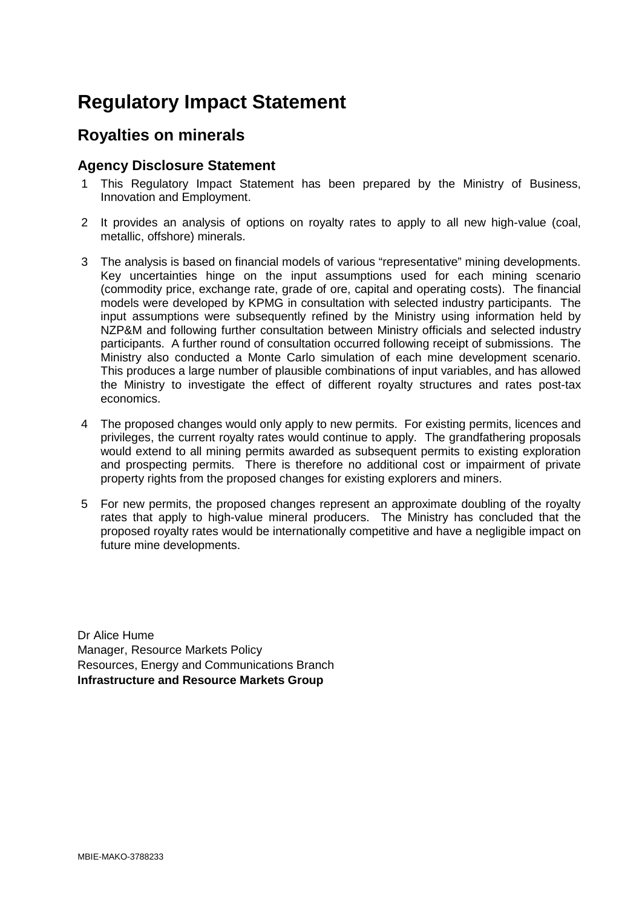# **Regulatory Impact Statement**

# **Royalties on minerals**

# **Agency Disclosure Statement**

- 1 This Regulatory Impact Statement has been prepared by the Ministry of Business, Innovation and Employment.
- 2 It provides an analysis of options on royalty rates to apply to all new high-value (coal, metallic, offshore) minerals.
- 3 The analysis is based on financial models of various "representative" mining developments. Key uncertainties hinge on the input assumptions used for each mining scenario (commodity price, exchange rate, grade of ore, capital and operating costs). The financial models were developed by KPMG in consultation with selected industry participants. The input assumptions were subsequently refined by the Ministry using information held by NZP&M and following further consultation between Ministry officials and selected industry participants. A further round of consultation occurred following receipt of submissions. The Ministry also conducted a Monte Carlo simulation of each mine development scenario. This produces a large number of plausible combinations of input variables, and has allowed the Ministry to investigate the effect of different royalty structures and rates post-tax economics.
- 4 The proposed changes would only apply to new permits. For existing permits, licences and privileges, the current royalty rates would continue to apply. The grandfathering proposals would extend to all mining permits awarded as subsequent permits to existing exploration and prospecting permits. There is therefore no additional cost or impairment of private property rights from the proposed changes for existing explorers and miners.
- 5 For new permits, the proposed changes represent an approximate doubling of the royalty rates that apply to high-value mineral producers. The Ministry has concluded that the proposed royalty rates would be internationally competitive and have a negligible impact on future mine developments.

<span id="page-0-0"></span>Dr Alice Hume Manager, Resource Markets Policy Resources, Energy and Communications Branch **Infrastructure and Resource Markets Group**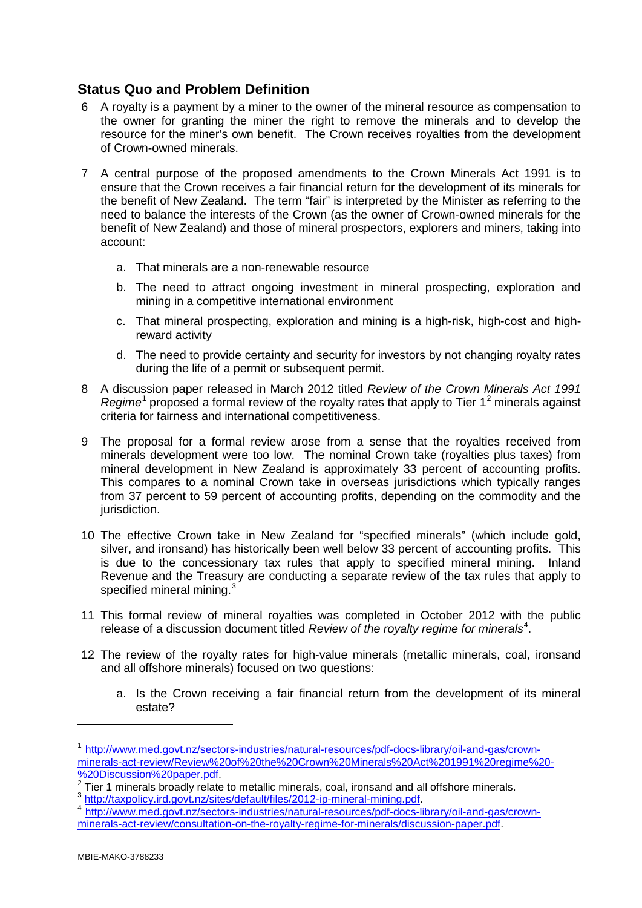# **Status Quo and Problem Definition**

- 6 A royalty is a payment by a miner to the owner of the mineral resource as compensation to the owner for granting the miner the right to remove the minerals and to develop the resource for the miner's own benefit. The Crown receives royalties from the development of Crown-owned minerals.
- 7 A central purpose of the proposed amendments to the Crown Minerals Act 1991 is to ensure that the Crown receives a fair financial return for the development of its minerals for the benefit of New Zealand. The term "fair" is interpreted by the Minister as referring to the need to balance the interests of the Crown (as the owner of Crown-owned minerals for the benefit of New Zealand) and those of mineral prospectors, explorers and miners, taking into account:
	- a. That minerals are a non-renewable resource
	- b. The need to attract ongoing investment in mineral prospecting, exploration and mining in a competitive international environment
	- c. That mineral prospecting, exploration and mining is a high-risk, high-cost and highreward activity
	- d. The need to provide certainty and security for investors by not changing royalty rates during the life of a permit or subsequent permit.
- 8 A discussion paper released in March 2012 titled *Review of the Crown Minerals Act 1991 Regime*<sup>[1](#page-0-0)</sup> proposed a formal review of the royalty rates that apply to Tier 1<sup>[2](#page-1-0)</sup> minerals against criteria for fairness and international competitiveness.
- 9 The proposal for a formal review arose from a sense that the royalties received from minerals development were too low. The nominal Crown take (royalties plus taxes) from mineral development in New Zealand is approximately 33 percent of accounting profits. This compares to a nominal Crown take in overseas jurisdictions which typically ranges from 37 percent to 59 percent of accounting profits, depending on the commodity and the jurisdiction.
- 10 The effective Crown take in New Zealand for "specified minerals" (which include gold, silver, and ironsand) has historically been well below 33 percent of accounting profits. This is due to the concessionary tax rules that apply to specified mineral mining. Inland Revenue and the Treasury are conducting a separate review of the tax rules that apply to specified mineral mining.<sup>[3](#page-1-1)</sup>
- 11 This formal review of mineral royalties was completed in October 2012 with the public release of a discussion document titled Review of the royalty regime for minerals<sup>[4](#page-1-2)</sup>.
- 12 The review of the royalty rates for high-value minerals (metallic minerals, coal, ironsand and all offshore minerals) focused on two questions:
	- a. Is the Crown receiving a fair financial return from the development of its mineral estate?

<span id="page-1-3"></span>-

<sup>1</sup> [http://www.med.govt.nz/sectors-industries/natural-resources/pdf-docs-library/oil-and-gas/crown](http://www.med.govt.nz/sectors-industries/natural-resources/pdf-docs-library/oil-and-gas/crown-minerals-act-review/Review%20of%20the%20Crown%20Minerals%20Act%201991%20regime%20-%20Discussion%20paper.pdf)[minerals-act-review/Review%20of%20the%20Crown%20Minerals%20Act%201991%20regime%20-](http://www.med.govt.nz/sectors-industries/natural-resources/pdf-docs-library/oil-and-gas/crown-minerals-act-review/Review%20of%20the%20Crown%20Minerals%20Act%201991%20regime%20-%20Discussion%20paper.pdf)<br>%20Discussion%20paper.pdf.

<span id="page-1-0"></span> $\frac{2020180030011020papc1.pac1}{2}$  $\frac{2020180030011020papc1.pac1}{2}$  $\frac{2020180030011020papc1.pac1}{2}$  Tier 1 minerals broadly relate to metallic minerals, coal, ironsand and all offshore minerals.<br> $\frac{3}{100}$  http://taxpolicv.ird.govt.nz/sites/default/<u>files/2012-ip-mineral-mining.pdf</u>.

<span id="page-1-1"></span>

<span id="page-1-2"></span><sup>&</sup>lt;sup>4</sup> [http://www.med.govt.nz/sectors-industries/natural-resources/pdf-docs-library/oil-and-gas/crown](http://www.med.govt.nz/sectors-industries/natural-resources/pdf-docs-library/oil-and-gas/crown-minerals-act-review/consultation-on-the-royalty-regime-for-minerals/discussion-paper.pdf)[minerals-act-review/consultation-on-the-royalty-regime-for-minerals/discussion-paper.pdf.](http://www.med.govt.nz/sectors-industries/natural-resources/pdf-docs-library/oil-and-gas/crown-minerals-act-review/consultation-on-the-royalty-regime-for-minerals/discussion-paper.pdf)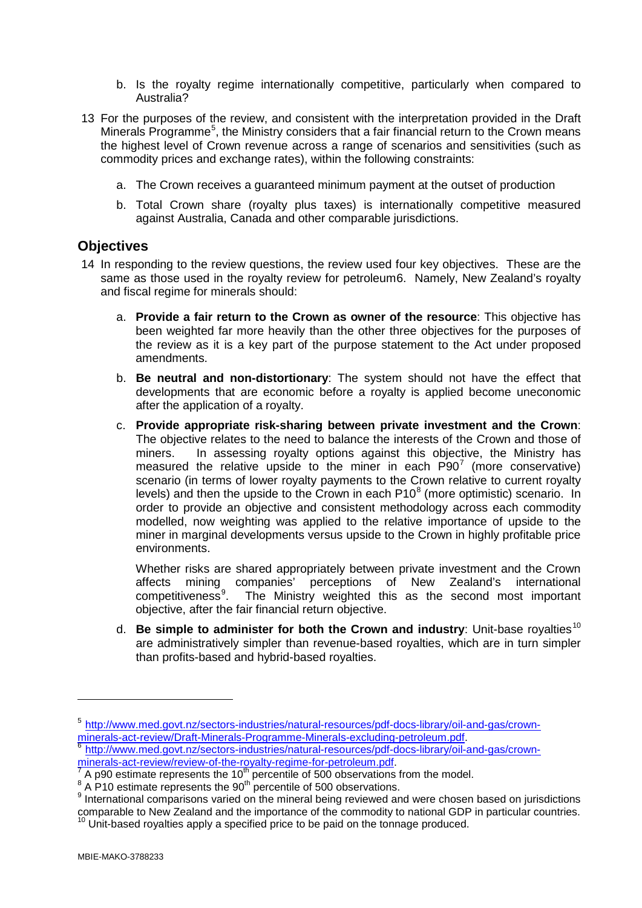- b. Is the royalty regime internationally competitive, particularly when compared to Australia?
- 13 For the purposes of the review, and consistent with the interpretation provided in the Draft Minerals Programme<sup>[5](#page-1-3)</sup>, the Ministry considers that a fair financial return to the Crown means the highest level of Crown revenue across a range of scenarios and sensitivities (such as commodity prices and exchange rates), within the following constraints:
	- a. The Crown receives a guaranteed minimum payment at the outset of production
	- b. Total Crown share (royalty plus taxes) is internationally competitive measured against Australia, Canada and other comparable jurisdictions.

#### **Objectives**

- 14 In responding to the review questions, the review used four key objectives. These are the same as those used in the royalty review for petroleum[6.](#page-2-0) Namely, New Zealand's royalty and fiscal regime for minerals should:
	- a. **Provide a fair return to the Crown as owner of the resource**: This objective has been weighted far more heavily than the other three objectives for the purposes of the review as it is a key part of the purpose statement to the Act under proposed amendments.
	- b. **Be neutral and non-distortionary**: The system should not have the effect that developments that are economic before a royalty is applied become uneconomic after the application of a royalty.
	- c. **Provide appropriate risk-sharing between private investment and the Crown**: The objective relates to the need to balance the interests of the Crown and those of miners. In assessing royalty options against this objective, the Ministry has measured the relative upside to the miner in each  $P90<sup>7</sup>$  $P90<sup>7</sup>$  $P90<sup>7</sup>$  (more conservative) scenario (in terms of lower royalty payments to the Crown relative to current royalty levels) and then the upside to the Crown in each  $P10<sup>8</sup>$  $P10<sup>8</sup>$  $P10<sup>8</sup>$  (more optimistic) scenario. In order to provide an objective and consistent methodology across each commodity modelled, now weighting was applied to the relative importance of upside to the miner in marginal developments versus upside to the Crown in highly profitable price environments.

Whether risks are shared appropriately between private investment and the Crown affects mining companies' perceptions of New Zealand's international competitiveness<sup>[9](#page-2-3)</sup>. . The Ministry weighted this as the second most important objective, after the fair financial return objective.

d. **Be simple to administer for both the Crown and industry**: Unit-base rovalties<sup>[10](#page-2-4)</sup> are administratively simpler than revenue-based royalties, which are in turn simpler than profits-based and hybrid-based royalties.

-

<sup>5</sup> [http://www.med.govt.nz/sectors-industries/natural-resources/pdf-docs-library/oil-and-gas/crown-](http://www.med.govt.nz/sectors-industries/natural-resources/pdf-docs-library/oil-and-gas/crown-minerals-act-review/Draft-Minerals-Programme-Minerals-excluding-petroleum.pdf)

<span id="page-2-0"></span>minerals-act-review/Draft-Minerals-Programme-Minerals-excluding-petroleum.pdf<br>
<sup>[6](http://www.med.govt.nz/sectors-industries/natural-resources/pdf-docs-library/oil-and-gas/crown-minerals-act-review/Draft-Minerals-Programme-Minerals-excluding-petroleum.pdf)</sup> http://www.med.govt.nz/sectors-industries/natural-resources/pdf-docs-library/oil-and-gas/crown-<br>
minerals-act-review/review-of-the-royalty-

<span id="page-2-4"></span><span id="page-2-3"></span>

<span id="page-2-2"></span><span id="page-2-1"></span> $\frac{7}{4}$  $\frac{7}{4}$  $\frac{7}{4}$  A p90 estimate represents the 10<sup>th</sup> percentile of 500 observations from the model.<br><sup>8</sup> A P10 estimate represents the 90<sup>th</sup> percentile of 500 observations.<br><sup>9</sup> International comparisons varied on the mineral be comparable to New Zealand and the importance of the commodity to national GDP in particular countries.<br><sup>10</sup> Unit-based royalties apply a specified price to be paid on the tonnage produced.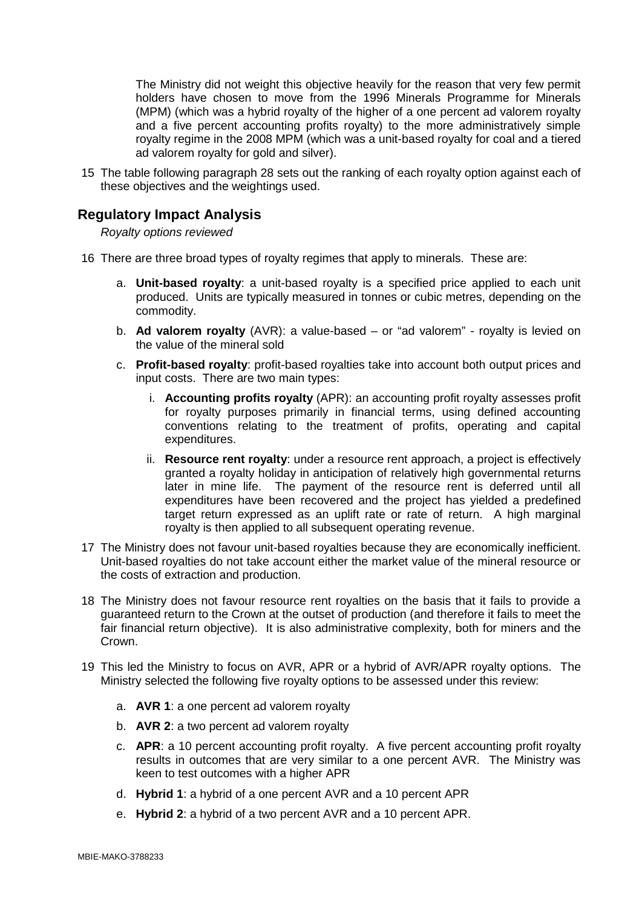The Ministry did not weight this objective heavily for the reason that very few permit holders have chosen to move from the 1996 Minerals Programme for Minerals (MPM) (which was a hybrid royalty of the higher of a one percent ad valorem royalty and a five percent accounting profits royalty) to the more administratively simple royalty regime in the 2008 MPM (which was a unit-based royalty for coal and a tiered ad valorem royalty for gold and silver).

15 The table following paragraph 28 sets out the ranking of each royalty option against each of these objectives and the weightings used.

# **Regulatory Impact Analysis**

*Royalty options reviewed*

- 16 There are three broad types of royalty regimes that apply to minerals. These are:
	- a. **Unit-based royalty**: a unit-based royalty is a specified price applied to each unit produced. Units are typically measured in tonnes or cubic metres, depending on the commodity.
	- b. **Ad valorem royalty** (AVR): a value-based or "ad valorem" royalty is levied on the value of the mineral sold
	- c. **Profit-based royalty**: profit-based royalties take into account both output prices and input costs. There are two main types:
		- i. **Accounting profits royalty** (APR): an accounting profit royalty assesses profit for royalty purposes primarily in financial terms, using defined accounting conventions relating to the treatment of profits, operating and capital expenditures.
		- ii. **Resource rent royalty**: under a resource rent approach, a project is effectively granted a royalty holiday in anticipation of relatively high governmental returns later in mine life. The payment of the resource rent is deferred until all expenditures have been recovered and the project has yielded a predefined target return expressed as an uplift rate or rate of return. A high marginal royalty is then applied to all subsequent operating revenue.
- 17 The Ministry does not favour unit-based royalties because they are economically inefficient. Unit-based royalties do not take account either the market value of the mineral resource or the costs of extraction and production.
- 18 The Ministry does not favour resource rent royalties on the basis that it fails to provide a guaranteed return to the Crown at the outset of production (and therefore it fails to meet the fair financial return objective). It is also administrative complexity, both for miners and the Crown.
- 19 This led the Ministry to focus on AVR, APR or a hybrid of AVR/APR royalty options. The Ministry selected the following five royalty options to be assessed under this review:
	- a. **AVR 1**: a one percent ad valorem royalty
	- b. **AVR 2**: a two percent ad valorem royalty
	- c. **APR**: a 10 percent accounting profit royalty. A five percent accounting profit royalty results in outcomes that are very similar to a one percent AVR. The Ministry was keen to test outcomes with a higher APR
	- d. **Hybrid 1**: a hybrid of a one percent AVR and a 10 percent APR
	- e. **Hybrid 2**: a hybrid of a two percent AVR and a 10 percent APR.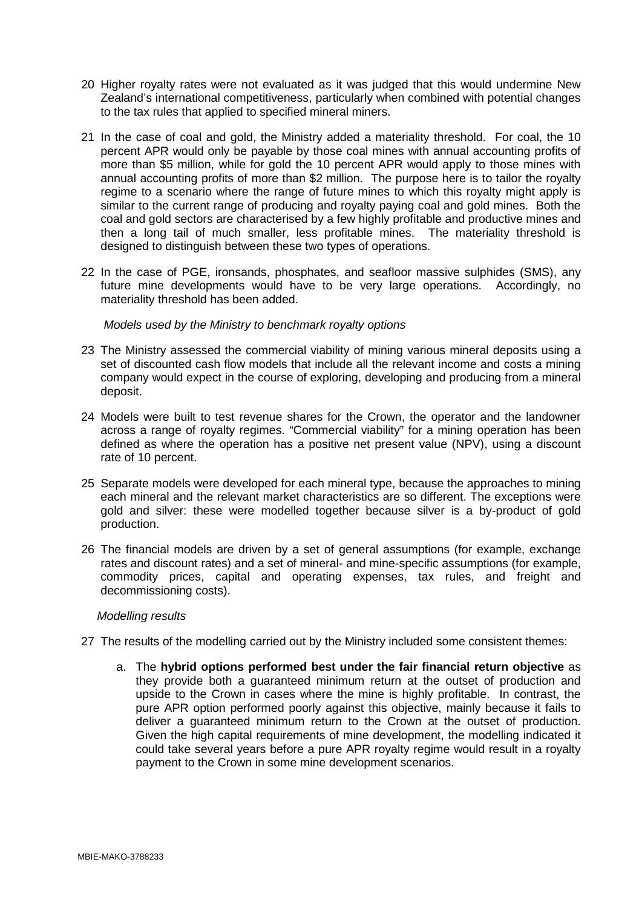- 20 Higher royalty rates were not evaluated as it was judged that this would undermine New Zealand's international competitiveness, particularly when combined with potential changes to the tax rules that applied to specified mineral miners.
- 21 In the case of coal and gold, the Ministry added a materiality threshold. For coal, the 10 percent APR would only be payable by those coal mines with annual accounting profits of more than \$5 million, while for gold the 10 percent APR would apply to those mines with annual accounting profits of more than \$2 million. The purpose here is to tailor the royalty regime to a scenario where the range of future mines to which this royalty might apply is similar to the current range of producing and royalty paying coal and gold mines. Both the coal and gold sectors are characterised by a few highly profitable and productive mines and then a long tail of much smaller, less profitable mines. The materiality threshold is designed to distinguish between these two types of operations.
- 22 In the case of PGE, ironsands, phosphates, and seafloor massive sulphides (SMS), any future mine developments would have to be very large operations. Accordingly, no materiality threshold has been added.

*Models used by the Ministry to benchmark royalty options*

- 23 The Ministry assessed the commercial viability of mining various mineral deposits using a set of discounted cash flow models that include all the relevant income and costs a mining company would expect in the course of exploring, developing and producing from a mineral deposit.
- 24 Models were built to test revenue shares for the Crown, the operator and the landowner across a range of royalty regimes. "Commercial viability" for a mining operation has been defined as where the operation has a positive net present value (NPV), using a discount rate of 10 percent.
- 25 Separate models were developed for each mineral type, because the approaches to mining each mineral and the relevant market characteristics are so different. The exceptions were gold and silver: these were modelled together because silver is a by-product of gold production.
- 26 The financial models are driven by a set of general assumptions (for example, exchange rates and discount rates) and a set of mineral- and mine-specific assumptions (for example, commodity prices, capital and operating expenses, tax rules, and freight and decommissioning costs).

#### *Modelling results*

- 27 The results of the modelling carried out by the Ministry included some consistent themes:
	- a. The **hybrid options performed best under the fair financial return objective** as they provide both a guaranteed minimum return at the outset of production and upside to the Crown in cases where the mine is highly profitable. In contrast, the pure APR option performed poorly against this objective, mainly because it fails to deliver a guaranteed minimum return to the Crown at the outset of production. Given the high capital requirements of mine development, the modelling indicated it could take several years before a pure APR royalty regime would result in a royalty payment to the Crown in some mine development scenarios.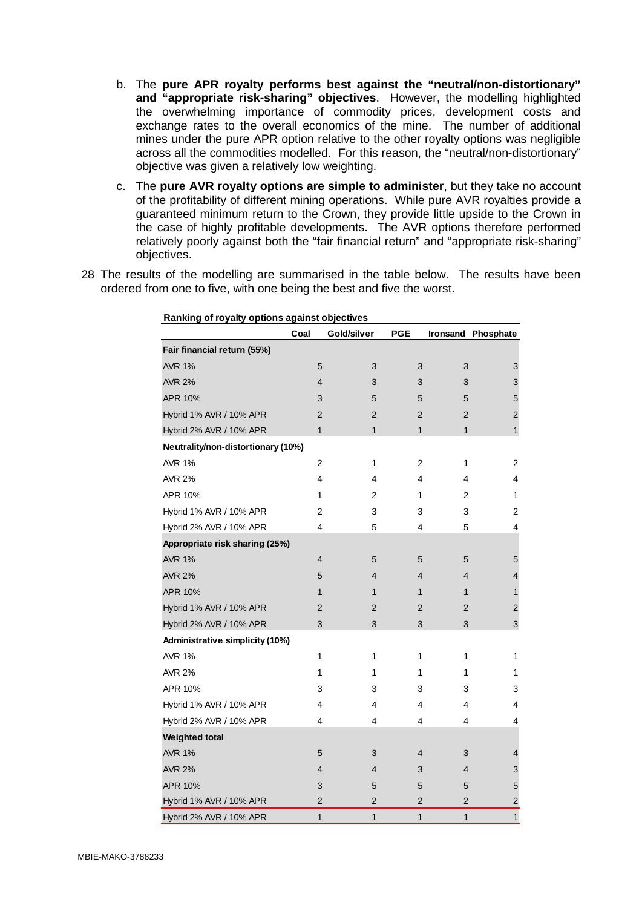- b. The **pure APR royalty performs best against the "neutral/non-distortionary" and "appropriate risk-sharing" objectives**. However, the modelling highlighted the overwhelming importance of commodity prices, development costs and exchange rates to the overall economics of the mine. The number of additional mines under the pure APR option relative to the other royalty options was negligible across all the commodities modelled. For this reason, the "neutral/non-distortionary" objective was given a relatively low weighting.
- c. The **pure AVR royalty options are simple to administer**, but they take no account of the profitability of different mining operations. While pure AVR royalties provide a guaranteed minimum return to the Crown, they provide little upside to the Crown in the case of highly profitable developments. The AVR options therefore performed relatively poorly against both the "fair financial return" and "appropriate risk-sharing" objectives.
- 28 The results of the modelling are summarised in the table below. The results have been ordered from one to five, with one being the best and five the worst.

| Ranking of royalty options against objectives |                |                |                |                         |                           |
|-----------------------------------------------|----------------|----------------|----------------|-------------------------|---------------------------|
|                                               | Coal           | Gold/silver    | <b>PGE</b>     |                         | Ironsand Phosphate        |
| Fair financial return (55%)                   |                |                |                |                         |                           |
| <b>AVR 1%</b>                                 | 5              | 3              | 3              | 3                       | 3                         |
| <b>AVR 2%</b>                                 | 4              | 3              | 3              | 3                       | $\ensuremath{\mathsf{3}}$ |
| APR 10%                                       | 3              | 5              | 5              | 5                       | 5                         |
| Hybrid 1% AVR / 10% APR                       | $\overline{2}$ | $\overline{2}$ | $\overline{2}$ | $\overline{2}$          | $\overline{c}$            |
| Hybrid 2% AVR / 10% APR                       | $\overline{1}$ | 1              | $\mathbf{1}$   | $\mathbf{1}$            | $\mathbf{1}$              |
| Neutrality/non-distortionary (10%)            |                |                |                |                         |                           |
| <b>AVR 1%</b>                                 | $\overline{c}$ | 1              | $\overline{c}$ | 1                       | $\overline{c}$            |
| <b>AVR 2%</b>                                 | 4              | 4              | 4              | 4                       | 4                         |
| APR 10%                                       | 1              | $\overline{2}$ | 1              | $\overline{2}$          | 1                         |
| Hybrid 1% AVR / 10% APR                       | 2              | 3              | 3              | 3                       | 2                         |
| Hybrid 2% AVR / 10% APR                       | 4              | 5              | 4              | 5                       | 4                         |
| Appropriate risk sharing (25%)                |                |                |                |                         |                           |
| <b>AVR 1%</b>                                 | 4              | 5              | 5              | 5                       | 5                         |
| <b>AVR 2%</b>                                 | 5              | 4              | 4              | 4                       | $\overline{4}$            |
| APR 10%                                       | $\mathbf{1}$   | 1              | $\mathbf{1}$   | $\mathbf{1}$            | $\mathbf{1}$              |
| Hybrid 1% AVR / 10% APR                       | $\overline{2}$ | $\overline{2}$ | $\overline{2}$ | $\overline{2}$          | 2                         |
| Hybrid 2% AVR / 10% APR                       | 3              | 3              | 3              | 3                       | 3                         |
| Administrative simplicity (10%)               |                |                |                |                         |                           |
| <b>AVR 1%</b>                                 | 1              | 1              | 1              | 1                       | 1                         |
| <b>AVR 2%</b>                                 | 1              | 1              | 1              | 1                       | 1                         |
| APR 10%                                       | 3              | 3              | 3              | 3                       | 3                         |
| Hybrid 1% AVR / 10% APR                       | 4              | 4              | 4              | 4                       | 4                         |
| Hybrid 2% AVR / 10% APR                       | 4              | 4              | 4              | 4                       | 4                         |
| Weighted total                                |                |                |                |                         |                           |
| <b>AVR 1%</b>                                 | 5              | 3              | 4              | 3                       | 4                         |
| <b>AVR 2%</b>                                 | 4              | 4              | 3              | 4                       | 3                         |
| APR 10%                                       | 3              | 5              | 5              | 5                       | 5                         |
| Hybrid 1% AVR / 10% APR                       | $\overline{c}$ | 2              | $\overline{c}$ | $\overline{\mathbf{c}}$ | $\overline{\mathbf{c}}$   |
| Hybrid 2% AVR / 10% APR                       | $\mathbf{1}$   | $\mathbf{1}$   | $\mathbf{1}$   | $\overline{1}$          | $\mathbf{1}$              |

**Ranking of royalty options against objectives**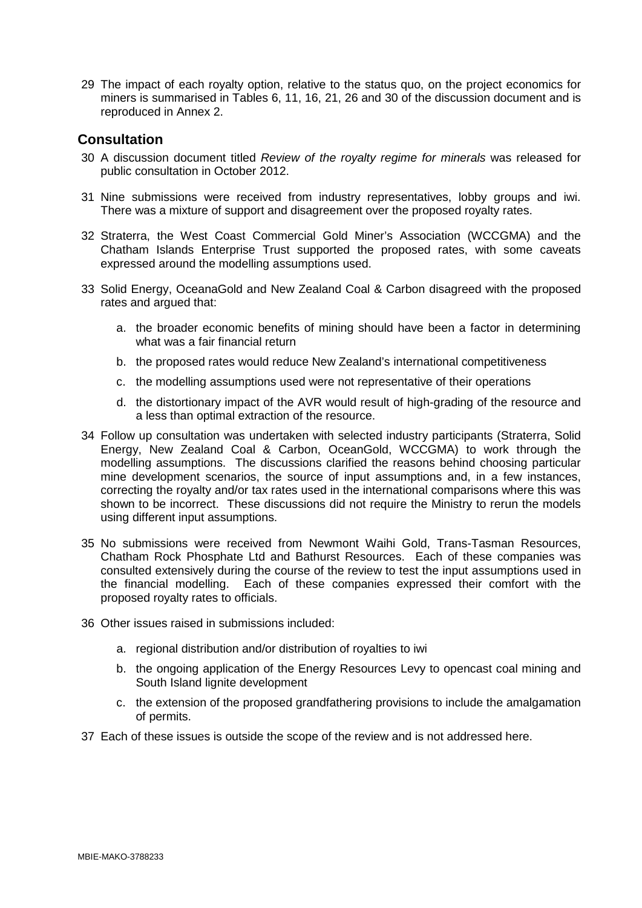29 The impact of each royalty option, relative to the status quo, on the project economics for miners is summarised in Tables 6, 11, 16, 21, 26 and 30 of the discussion document and is reproduced in Annex 2.

## **Consultation**

- 30 A discussion document titled *Review of the royalty regime for minerals* was released for public consultation in October 2012.
- 31 Nine submissions were received from industry representatives, lobby groups and iwi. There was a mixture of support and disagreement over the proposed royalty rates.
- 32 Straterra, the West Coast Commercial Gold Miner's Association (WCCGMA) and the Chatham Islands Enterprise Trust supported the proposed rates, with some caveats expressed around the modelling assumptions used.
- 33 Solid Energy, OceanaGold and New Zealand Coal & Carbon disagreed with the proposed rates and argued that:
	- a. the broader economic benefits of mining should have been a factor in determining what was a fair financial return
	- b. the proposed rates would reduce New Zealand's international competitiveness
	- c. the modelling assumptions used were not representative of their operations
	- d. the distortionary impact of the AVR would result of high-grading of the resource and a less than optimal extraction of the resource.
- 34 Follow up consultation was undertaken with selected industry participants (Straterra, Solid Energy, New Zealand Coal & Carbon, OceanGold, WCCGMA) to work through the modelling assumptions. The discussions clarified the reasons behind choosing particular mine development scenarios, the source of input assumptions and, in a few instances, correcting the royalty and/or tax rates used in the international comparisons where this was shown to be incorrect. These discussions did not require the Ministry to rerun the models using different input assumptions.
- 35 No submissions were received from Newmont Waihi Gold, Trans-Tasman Resources, Chatham Rock Phosphate Ltd and Bathurst Resources. Each of these companies was consulted extensively during the course of the review to test the input assumptions used in the financial modelling. Each of these companies expressed their comfort with the proposed royalty rates to officials.
- 36 Other issues raised in submissions included:
	- a. regional distribution and/or distribution of royalties to iwi
	- b. the ongoing application of the Energy Resources Levy to opencast coal mining and South Island lignite development
	- c. the extension of the proposed grandfathering provisions to include the amalgamation of permits.
- 37 Each of these issues is outside the scope of the review and is not addressed here.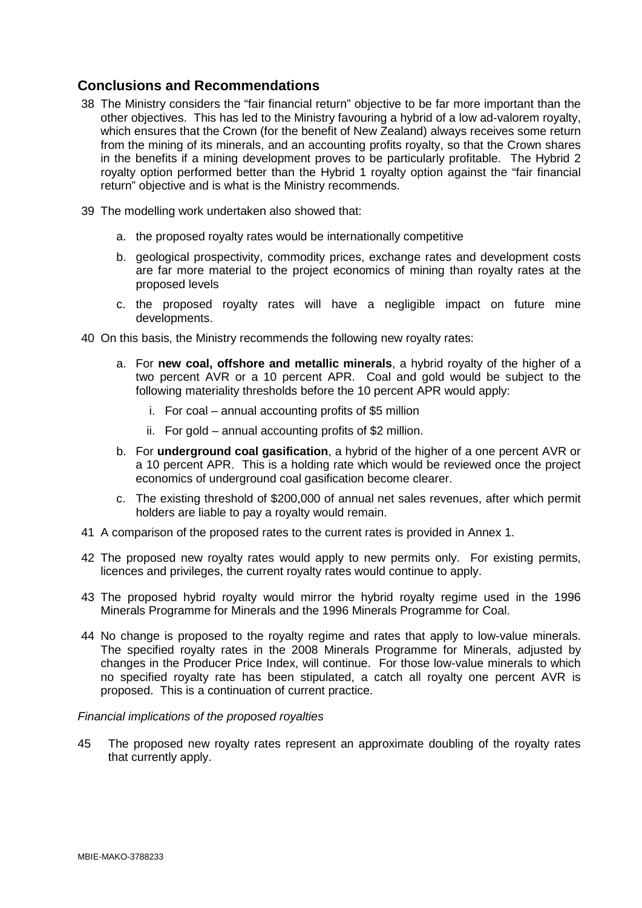# **Conclusions and Recommendations**

- 38 The Ministry considers the "fair financial return" objective to be far more important than the other objectives. This has led to the Ministry favouring a hybrid of a low ad-valorem royalty, which ensures that the Crown (for the benefit of New Zealand) always receives some return from the mining of its minerals, and an accounting profits royalty, so that the Crown shares in the benefits if a mining development proves to be particularly profitable. The Hybrid 2 royalty option performed better than the Hybrid 1 royalty option against the "fair financial return" objective and is what is the Ministry recommends.
- 39 The modelling work undertaken also showed that:
	- a. the proposed royalty rates would be internationally competitive
	- b. geological prospectivity, commodity prices, exchange rates and development costs are far more material to the project economics of mining than royalty rates at the proposed levels
	- c. the proposed royalty rates will have a negligible impact on future mine developments.
- 40 On this basis, the Ministry recommends the following new royalty rates:
	- a. For **new coal, offshore and metallic minerals**, a hybrid royalty of the higher of a two percent AVR or a 10 percent APR. Coal and gold would be subject to the following materiality thresholds before the 10 percent APR would apply:
		- i. For coal annual accounting profits of \$5 million
		- ii. For gold annual accounting profits of \$2 million.
	- b. For **underground coal gasification**, a hybrid of the higher of a one percent AVR or a 10 percent APR. This is a holding rate which would be reviewed once the project economics of underground coal gasification become clearer.
	- c. The existing threshold of \$200,000 of annual net sales revenues, after which permit holders are liable to pay a royalty would remain.
- 41 A comparison of the proposed rates to the current rates is provided in Annex 1.
- 42 The proposed new royalty rates would apply to new permits only. For existing permits, licences and privileges, the current royalty rates would continue to apply.
- 43 The proposed hybrid royalty would mirror the hybrid royalty regime used in the 1996 Minerals Programme for Minerals and the 1996 Minerals Programme for Coal.
- 44 No change is proposed to the royalty regime and rates that apply to low-value minerals. The specified royalty rates in the 2008 Minerals Programme for Minerals, adjusted by changes in the Producer Price Index, will continue. For those low-value minerals to which no specified royalty rate has been stipulated, a catch all royalty one percent AVR is proposed. This is a continuation of current practice.

#### *Financial implications of the proposed royalties*

45 The proposed new royalty rates represent an approximate doubling of the royalty rates that currently apply.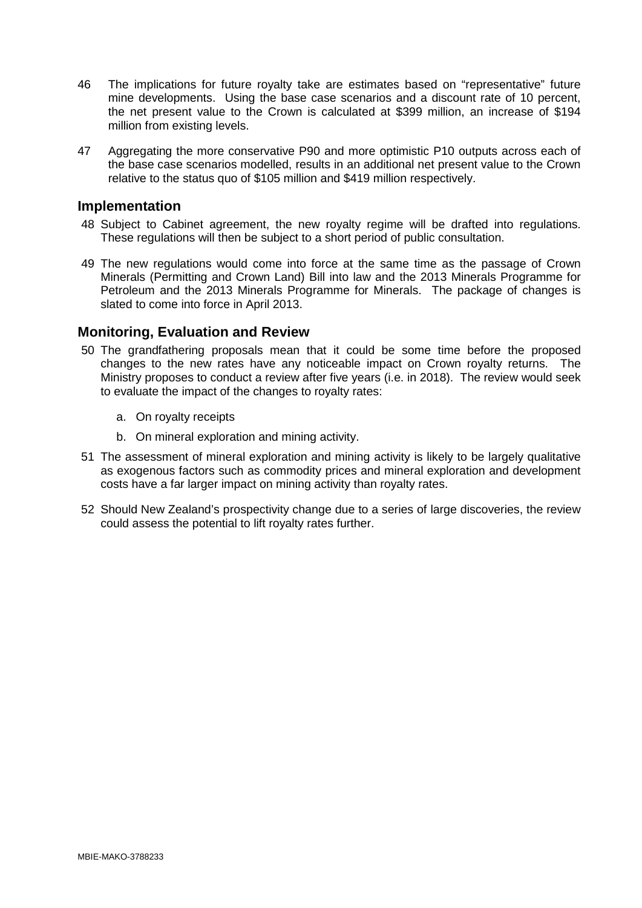- 46 The implications for future royalty take are estimates based on "representative" future mine developments. Using the base case scenarios and a discount rate of 10 percent, the net present value to the Crown is calculated at \$399 million, an increase of \$194 million from existing levels.
- 47 Aggregating the more conservative P90 and more optimistic P10 outputs across each of the base case scenarios modelled, results in an additional net present value to the Crown relative to the status quo of \$105 million and \$419 million respectively.

## **Implementation**

- 48 Subject to Cabinet agreement, the new royalty regime will be drafted into regulations. These regulations will then be subject to a short period of public consultation.
- 49 The new regulations would come into force at the same time as the passage of Crown Minerals (Permitting and Crown Land) Bill into law and the 2013 Minerals Programme for Petroleum and the 2013 Minerals Programme for Minerals. The package of changes is slated to come into force in April 2013.

## **Monitoring, Evaluation and Review**

- 50 The grandfathering proposals mean that it could be some time before the proposed changes to the new rates have any noticeable impact on Crown royalty returns. The Ministry proposes to conduct a review after five years (i.e. in 2018). The review would seek to evaluate the impact of the changes to royalty rates:
	- a. On royalty receipts
	- b. On mineral exploration and mining activity.
- 51 The assessment of mineral exploration and mining activity is likely to be largely qualitative as exogenous factors such as commodity prices and mineral exploration and development costs have a far larger impact on mining activity than royalty rates.
- 52 Should New Zealand's prospectivity change due to a series of large discoveries, the review could assess the potential to lift royalty rates further.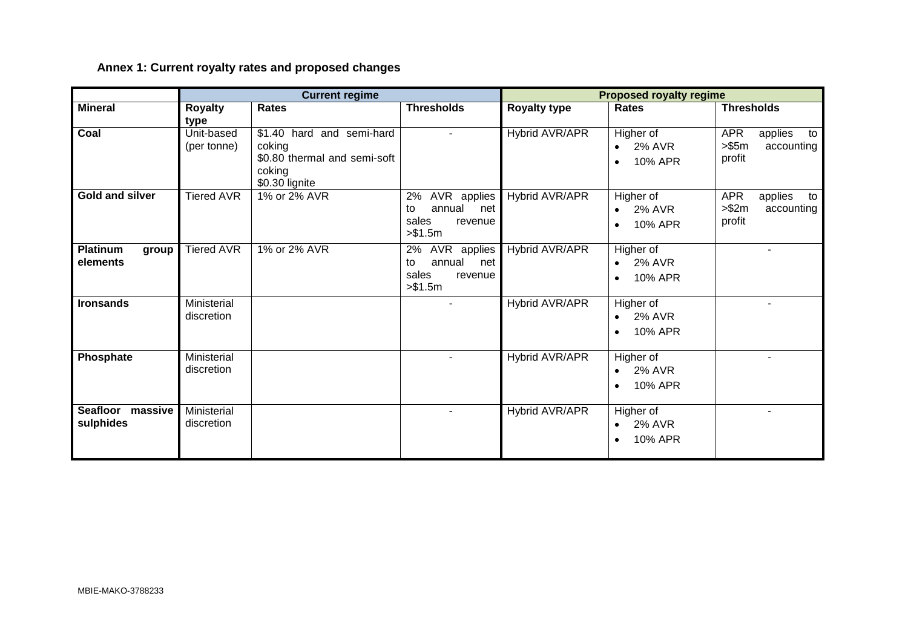# **Annex 1: Current royalty rates and proposed changes**

|                                      |                           | <b>Current regime</b>                                                                           |                                                                          |                     | <b>Proposed royalty regime</b>                        |                                                               |
|--------------------------------------|---------------------------|-------------------------------------------------------------------------------------------------|--------------------------------------------------------------------------|---------------------|-------------------------------------------------------|---------------------------------------------------------------|
| <b>Mineral</b>                       | <b>Royalty</b><br>type    | <b>Rates</b>                                                                                    | <b>Thresholds</b>                                                        | <b>Royalty type</b> | <b>Rates</b>                                          | <b>Thresholds</b>                                             |
| Coal                                 | Unit-based<br>(per tonne) | \$1.40 hard and semi-hard<br>coking<br>\$0.80 thermal and semi-soft<br>coking<br>\$0.30 lignite |                                                                          | Hybrid AVR/APR      | Higher of<br>$\bullet$ 2% AVR<br>10% APR<br>$\bullet$ | <b>APR</b><br>applies<br>to<br>> \$5m<br>accounting<br>profit |
| <b>Gold and silver</b>               | <b>Tiered AVR</b>         | 1% or 2% AVR                                                                                    | AVR applies<br>2%<br>annual<br>to<br>net<br>sales<br>revenue<br>> \$1.5m | Hybrid AVR/APR      | Higher of<br>2% AVR<br>$\bullet$<br>10% APR           | <b>APR</b><br>applies<br>to<br>> \$2m<br>accounting<br>profit |
| <b>Platinum</b><br>group<br>elements | <b>Tiered AVR</b>         | 1% or 2% AVR                                                                                    | AVR applies<br>2%<br>annual<br>to<br>net<br>sales<br>revenue<br>> \$1.5m | Hybrid AVR/APR      | Higher of<br><b>2% AVR</b><br>$\bullet$<br>10% APR    |                                                               |
| <b>Ironsands</b>                     | Ministerial<br>discretion |                                                                                                 |                                                                          | Hybrid AVR/APR      | Higher of<br>2% AVR<br>10% APR                        |                                                               |
| Phosphate                            | Ministerial<br>discretion |                                                                                                 |                                                                          | Hybrid AVR/APR      | Higher of<br>2% AVR<br>10% APR                        |                                                               |
| Seafloor massive<br>sulphides        | Ministerial<br>discretion |                                                                                                 |                                                                          | Hybrid AVR/APR      | Higher of<br>2% AVR<br>$\bullet$<br>10% APR           |                                                               |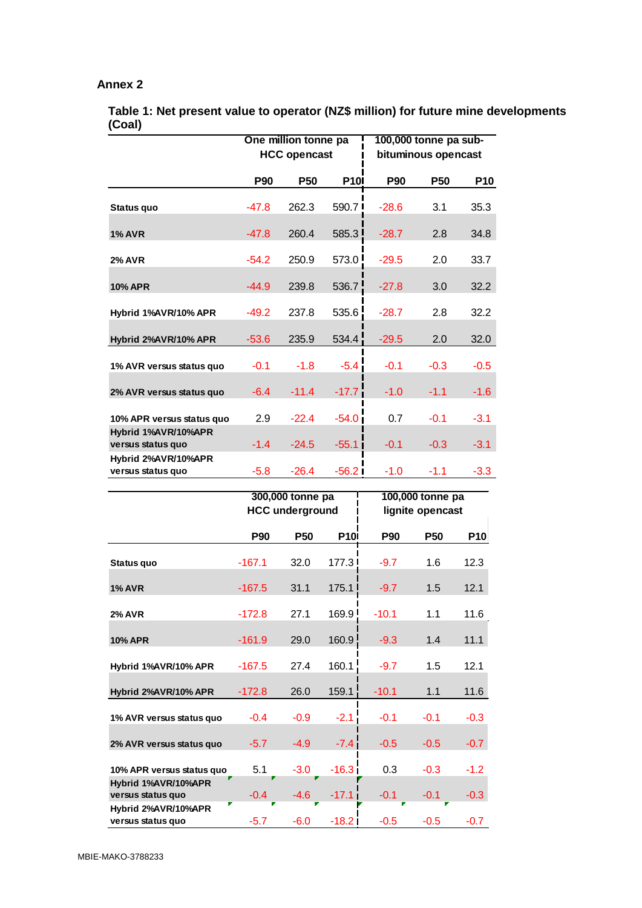#### **Annex 2**

|                                          |            | One million tonne pa<br><b>HCC opencast</b> |             | 100,000 tonne pa sub-<br>bituminous opencast |            |            |  |
|------------------------------------------|------------|---------------------------------------------|-------------|----------------------------------------------|------------|------------|--|
|                                          | <b>P90</b> | P <sub>50</sub>                             | <b>P101</b> | P90                                          | <b>P50</b> | <b>P10</b> |  |
| Status quo                               | $-47.8$    | 262.3                                       | 590.7       | $-28.6$                                      | 3.1        | 35.3       |  |
| <b>1% AVR</b>                            | $-47.8$    | 260.4                                       | 585.3       | $-28.7$                                      | 2.8        | 34.8       |  |
| <b>2% AVR</b>                            | $-54.2$    | 250.9                                       | 573.0       | $-29.5$                                      | 2.0        | 33.7       |  |
| <b>10% APR</b>                           | $-44.9$    | 239.8                                       | 536.7       | $-27.8$                                      | 3.0        | 32.2       |  |
| Hybrid 1%AVR/10% APR                     | $-49.2$    | 237.8                                       | 535.6       | $-28.7$                                      | 2.8        | 32.2       |  |
| Hybrid 2%AVR/10% APR                     | $-53.6$    | 235.9                                       | 534.4       | $-29.5$                                      | 2.0        | 32.0       |  |
| 1% AVR versus status quo                 | $-0.1$     | $-1.8$                                      | $-5.4$      | $-0.1$                                       | $-0.3$     | $-0.5$     |  |
| 2% AVR versus status quo                 | $-6.4$     | $-11.4$                                     | $-17.7$     | $-1.0$                                       | $-1.1$     | $-1.6$     |  |
| 10% APR versus status quo                | 2.9        | $-22.4$                                     | $-54.0$     | 0.7                                          | $-0.1$     | $-3.1$     |  |
| Hybrid 1%AVR/10%APR<br>versus status quo | $-1.4$     | $-24.5$                                     | $-55.1$     | $-0.1$                                       | $-0.3$     | $-3.1$     |  |
| Hybrid 2%AVR/10%APR<br>versus status quo | $-5.8$     | $-26.4$                                     | $-56.2$     | $-1.0$                                       | $-1.1$     | $-3.3$     |  |

**Table 1: Net present value to operator (NZ\$ million) for future mine developments (Coal)**

|                                          |             | 300,000 tonne pa<br><b>HCC underground</b> |             | 100,000 tonne pa<br>lignite opencast |            |            |  |
|------------------------------------------|-------------|--------------------------------------------|-------------|--------------------------------------|------------|------------|--|
|                                          | <b>P90</b>  | <b>P50</b>                                 | <b>P10I</b> | <b>P90</b>                           | <b>P50</b> | <b>P10</b> |  |
| Status quo                               | $-167.1$    | 32.0                                       | 177.3 I     | $-9.7$                               | 1.6        | 12.3       |  |
| <b>1% AVR</b>                            | $-167.5$    | 31.1                                       | 175.1       | $-9.7$                               | 1.5        | 12.1       |  |
| <b>2% AVR</b>                            | $-172.8$    | 27.1                                       | 169.9       | $-10.1$                              | 1.1        | 11.6       |  |
| <b>10% APR</b>                           | $-161.9$    | 29.0                                       | 160.9       | $-9.3$                               | 1.4        | 11.1       |  |
| Hybrid 1%AVR/10% APR                     | $-167.5$    | 27.4                                       | 160.1       | $-9.7$                               | 1.5        | 12.1       |  |
| Hybrid 2%AVR/10% APR                     | $-172.8$    | 26.0                                       | 159.1       | $-10.1$                              | 1.1        | 11.6       |  |
| 1% AVR versus status quo                 | $-0.4$      | $-0.9$                                     | $-2.1$      | $-0.1$                               | $-0.1$     | $-0.3$     |  |
| 2% AVR versus status quo                 | $-5.7$      | $-4.9$                                     | $-7.4$      | $-0.5$                               | $-0.5$     | $-0.7$     |  |
| 10% APR versus status quo                | 5.1         | $-3.0$                                     | $-16.3$     | 0.3                                  | $-0.3$     | $-1.2$     |  |
| Hybrid 1%AVR/10%APR<br>versus status quo | $-0.4$<br>г | $-4.6$                                     | $-17.1$     | $-0.1$                               | $-0.1$     | $-0.3$     |  |
| Hybrid 2%AVR/10%APR<br>versus status quo | $-5.7$      | $-6.0$                                     | $-18.2$     | $-0.5$                               | $-0.5$     | $-0.7$     |  |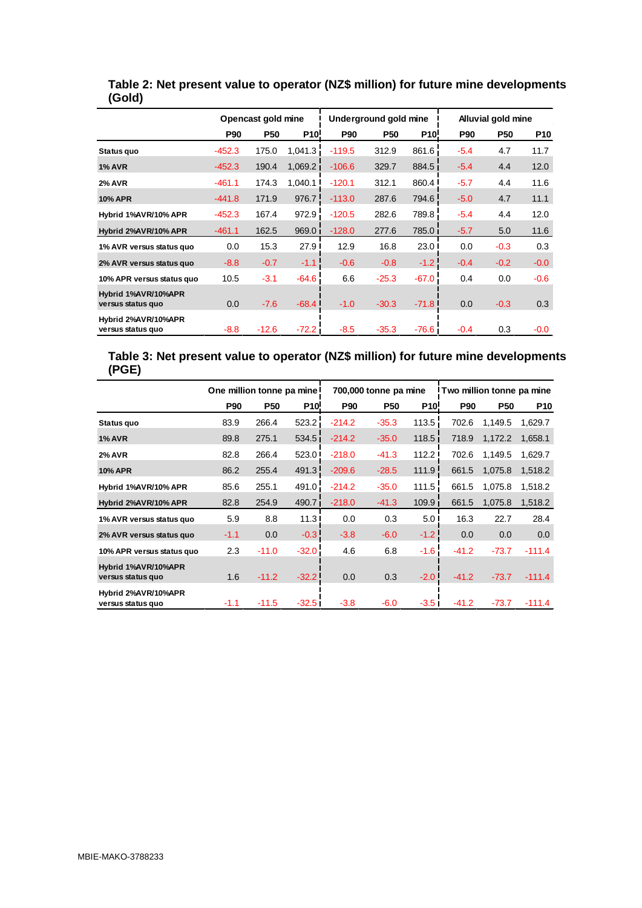|                                          |            | Opencast gold mine |                 | Underground gold mine |            |                 | Alluvial gold mine |            |            |
|------------------------------------------|------------|--------------------|-----------------|-----------------------|------------|-----------------|--------------------|------------|------------|
|                                          | <b>P90</b> | <b>P50</b>         | P <sub>10</sub> | <b>P90</b>            | <b>P50</b> | P <sub>10</sub> | <b>P90</b>         | <b>P50</b> | <b>P10</b> |
| Status quo                               | $-452.3$   | 175.0              | 1,041.3         | $-119.5$              | 312.9      | 861.6           | $-5.4$             | 4.7        | 11.7       |
| <b>1% AVR</b>                            | $-452.3$   | 190.4              | 1,069.2         | $-106.6$              | 329.7      | 884.5           | $-5.4$             | 4.4        | 12.0       |
| <b>2% AVR</b>                            | $-461.1$   | 174.3              | 1,040.1         | $-120.1$              | 312.1      | 860.4           | $-5.7$             | 4.4        | 11.6       |
| <b>10% APR</b>                           | $-441.8$   | 171.9              | 976.7           | $-113.0$              | 287.6      | 794.6           | $-5.0$             | 4.7        | 11.1       |
| Hybrid 1%AVR/10% APR                     | $-452.3$   | 167.4              | 972.9           | $-120.5$              | 282.6      | 789.8           | $-5.4$             | 4.4        | 12.0       |
| Hybrid 2%AVR/10% APR                     | $-461.1$   | 162.5              | 969.0           | $-128.0$              | 277.6      | 785.0           | $-5.7$             | 5.0        | 11.6       |
| 1% AVR versus status quo                 | 0.0        | 15.3               | 27.9            | 12.9                  | 16.8       | 23.0            | 0.0                | $-0.3$     | 0.3        |
| 2% AVR versus status quo                 | $-8.8$     | $-0.7$             | $-1.1$          | $-0.6$                | $-0.8$     | $-1.2$          | $-0.4$             | $-0.2$     | $-0.0$     |
| 10% APR versus status quo                | 10.5       | $-3.1$             | $-64.6$         | 6.6                   | $-25.3$    | $-67.0$         | 0.4                | 0.0        | $-0.6$     |
| Hybrid 1%AVR/10%APR<br>versus status quo | 0.0        | $-7.6$             | $-68.4$         | $-1.0$                | $-30.3$    | $-71.8$         | 0.0                | $-0.3$     | 0.3        |
| Hybrid 2%AVR/10%APR<br>versus status quo | $-8.8$     | $-12.6$            | $-72.2$         | $-8.5$                | $-35.3$    | $-76.6$         | $-0.4$             | 0.3        | $-0.0$     |

**Table 2: Net present value to operator (NZ\$ million) for future mine developments (Gold)**

### **Table 3: Net present value to operator (NZ\$ million) for future mine developments (PGE)**

|                                          | One million tonne pa mine I |            |                   | 700,000 tonne pa mine<br>Two million tonne pa mine |            |                    |            |            |            |
|------------------------------------------|-----------------------------|------------|-------------------|----------------------------------------------------|------------|--------------------|------------|------------|------------|
|                                          | <b>P90</b>                  | <b>P50</b> | P <sub>10</sub> ! | <b>P90</b>                                         | <b>P50</b> | P <sub>10</sub>    | <b>P90</b> | <b>P50</b> | <b>P10</b> |
| Status quo                               | 83.9                        | 266.4      | 523.2             | $-214.2$                                           | $-35.3$    | 113.5              | 702.6      | 1,149.5    | 1,629.7    |
| <b>1% AVR</b>                            | 89.8                        | 275.1      | 534.5             | $-214.2$                                           | $-35.0$    | 118.5              | 718.9      | 1,172.2    | 1,658.1    |
| <b>2% AVR</b>                            | 82.8                        | 266.4      | 523.0             | $-218.0$                                           | $-41.3$    | 112.2              | 702.6      | 1,149.5    | 1,629.7    |
| <b>10% APR</b>                           | 86.2                        | 255.4      | 491.3             | $-209.6$                                           | $-28.5$    | 111.9              | 661.5      | 1,075.8    | 1,518.2    |
| Hybrid 1%AVR/10% APR                     | 85.6                        | 255.1      | 491.0             | $-214.2$                                           | $-35.0$    | 111.5              | 661.5      | 1,075.8    | 1,518.2    |
| Hybrid 2%AVR/10% APR                     | 82.8                        | 254.9      | 490.7             | $-218.0$                                           | $-41.3$    | 109.9 <sub>1</sub> | 661.5      | 1,075.8    | 1,518.2    |
| 1% AVR versus status quo                 | 5.9                         | 8.8        | 11.3              | 0.0                                                | 0.3        | 5.0 <sup>1</sup>   | 16.3       | 22.7       | 28.4       |
| 2% AVR versus status quo                 | $-1.1$                      | 0.0        | $-0.3$            | $-3.8$                                             | $-6.0$     | $-1.2$             | 0.0        | 0.0        | 0.0        |
| 10% APR versus status quo                | 2.3                         | $-11.0$    | $-32.0$           | 4.6                                                | 6.8        | $-1.6$             | $-41.2$    | $-73.7$    | $-111.4$   |
| Hybrid 1%AVR/10%APR<br>versus status quo | 1.6                         | $-11.2$    | $-32.2$           | 0.0                                                | 0.3        | $-2.0$             | $-41.2$    | $-73.7$    | $-111.4$   |
| Hybrid 2%AVR/10%APR<br>versus status quo | $-1.1$                      | $-11.5$    | $-32.5$           | $-3.8$                                             | $-6.0$     | $-3.5$             | $-41.2$    | $-73.7$    | $-111.4$   |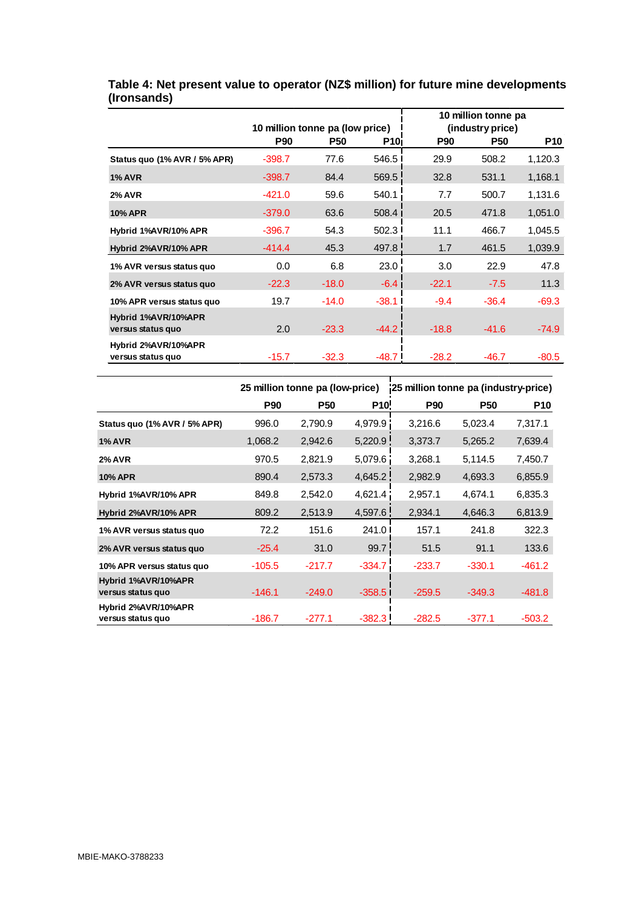|                                          |                                               |            |            | 10 million tonne pa<br>(industry price) |            |            |  |
|------------------------------------------|-----------------------------------------------|------------|------------|-----------------------------------------|------------|------------|--|
|                                          | 10 million tonne pa (low price)<br><b>P90</b> | <b>P50</b> | <b>P10</b> | <b>P90</b>                              | <b>P50</b> | <b>P10</b> |  |
| Status quo (1% AVR / 5% APR)             | $-398.7$                                      | 77.6       | 546.5      | 29.9                                    | 508.2      | 1,120.3    |  |
| <b>1% AVR</b>                            | $-398.7$                                      | 84.4       | 569.5      | 32.8                                    | 531.1      | 1,168.1    |  |
| <b>2% AVR</b>                            | $-421.0$                                      | 59.6       | 540.1      | 7.7                                     | 500.7      | 1,131.6    |  |
| <b>10% APR</b>                           | $-379.0$                                      | 63.6       | 508.4      | 20.5                                    | 471.8      | 1,051.0    |  |
| Hybrid 1%AVR/10% APR                     | $-396.7$                                      | 54.3       | 502.3      | 11.1                                    | 466.7      | 1,045.5    |  |
| Hybrid 2%AVR/10% APR                     | $-414.4$                                      | 45.3       | 497.8      | 1.7                                     | 461.5      | 1,039.9    |  |
| 1% AVR versus status quo                 | 0.0                                           | 6.8        | 23.0       | 3.0                                     | 22.9       | 47.8       |  |
| 2% AVR versus status quo                 | $-22.3$                                       | $-18.0$    | $-6.4$ I   | $-22.1$                                 | $-7.5$     | 11.3       |  |
| 10% APR versus status quo                | 19.7                                          | $-14.0$    | $-38.1$    | $-9.4$                                  | $-36.4$    | $-69.3$    |  |
| Hybrid 1%AVR/10%APR<br>versus status quo | 2.0                                           | $-23.3$    | $-44.2$    | $-18.8$                                 | $-41.6$    | $-74.9$    |  |
| Hybrid 2%AVR/10%APR<br>versus status quo | $-15.7$                                       | $-32.3$    | $-48.7$    | $-28.2$                                 | $-46.7$    | $-80.5$    |  |

#### **Table 4: Net present value to operator (NZ\$ million) for future mine developments (Ironsands)**

|                                          |            | 25 million tonne pa (low-price) |                   | 25 million tonne pa (industry-price) |            |            |
|------------------------------------------|------------|---------------------------------|-------------------|--------------------------------------|------------|------------|
|                                          | <b>P90</b> | <b>P50</b>                      | P <sub>10</sub> ! | <b>P90</b>                           | <b>P50</b> | <b>P10</b> |
| Status quo (1% AVR / 5% APR)             | 996.0      | 2,790.9                         | 4,979.9           | 3,216.6                              | 5,023.4    | 7,317.1    |
| <b>1% AVR</b>                            | 1,068.2    | 2,942.6                         | 5,220.9           | 3,373.7                              | 5,265.2    | 7,639.4    |
| <b>2% AVR</b>                            | 970.5      | 2,821.9                         | 5,079.6           | 3,268.1                              | 5,114.5    | 7,450.7    |
| <b>10% APR</b>                           | 890.4      | 2,573.3                         | 4,645.2           | 2,982.9                              | 4,693.3    | 6,855.9    |
| Hybrid 1%AVR/10% APR                     | 849.8      | 2,542.0                         | 4,621.4           | 2,957.1                              | 4,674.1    | 6,835.3    |
| Hybrid 2%AVR/10% APR                     | 809.2      | 2,513.9                         | 4,597.6           | 2,934.1                              | 4,646.3    | 6,813.9    |
| 1% AVR versus status quo                 | 72.2       | 151.6                           | 241.0             | 157.1                                | 241.8      | 322.3      |
| 2% AVR versus status quo                 | $-25.4$    | 31.0                            | 99.7              | 51.5                                 | 91.1       | 133.6      |
| 10% APR versus status quo                | $-105.5$   | $-217.7$                        | $-334.7$          | $-233.7$                             | $-330.1$   | $-461.2$   |
| Hybrid 1%AVR/10%APR<br>versus status quo | $-146.1$   | $-249.0$                        | $-358.5$          | $-259.5$                             | $-349.3$   | $-481.8$   |
| Hybrid 2%AVR/10%APR                      |            |                                 |                   |                                      |            |            |
| versus status quo                        | $-186.7$   | $-277.1$                        | $-382.3$          | $-282.5$                             | $-377.1$   | $-503.2$   |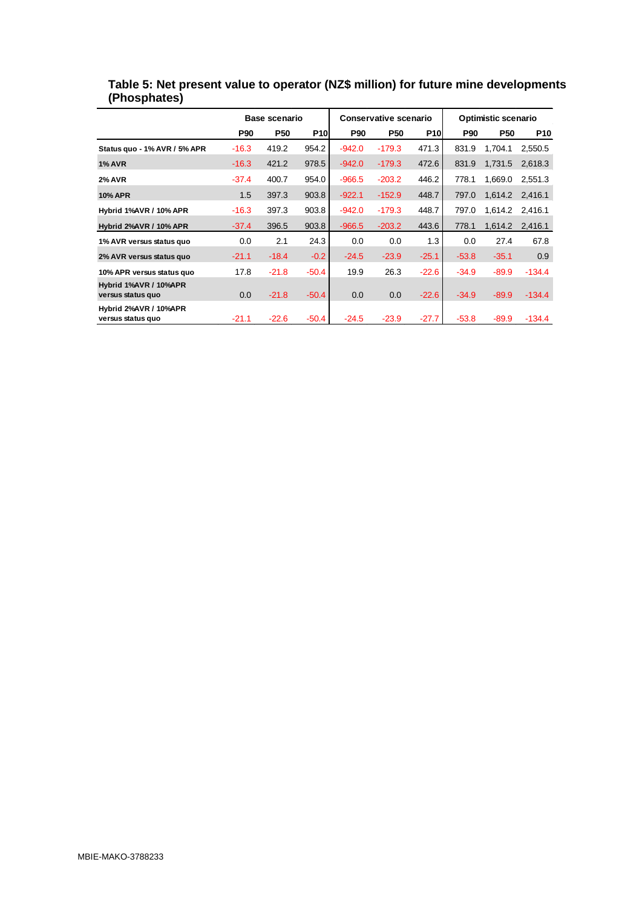|                                            |            | Base scenario |            |            | <b>Conservative scenario</b> |            | <b>Optimistic scenario</b> |            |            |
|--------------------------------------------|------------|---------------|------------|------------|------------------------------|------------|----------------------------|------------|------------|
|                                            | <b>P90</b> | <b>P50</b>    | <b>P10</b> | <b>P90</b> | <b>P50</b>                   | <b>P10</b> | <b>P90</b>                 | <b>P50</b> | <b>P10</b> |
| Status quo - 1% AVR / 5% APR               | $-16.3$    | 419.2         | 954.2      | $-942.0$   | $-179.3$                     | 471.3      | 831.9                      | 1.704.1    | 2,550.5    |
| <b>1% AVR</b>                              | $-16.3$    | 421.2         | 978.5      | $-942.0$   | $-179.3$                     | 472.6      | 831.9                      | 1,731.5    | 2,618.3    |
| <b>2% AVR</b>                              | $-37.4$    | 400.7         | 954.0      | $-966.5$   | $-203.2$                     | 446.2      | 778.1                      | 1,669.0    | 2,551.3    |
| <b>10% APR</b>                             | 1.5        | 397.3         | 903.8      | $-922.1$   | $-152.9$                     | 448.7      | 797.0                      | 1,614.2    | 2,416.1    |
| Hybrid 1%AVR / 10% APR                     | $-16.3$    | 397.3         | 903.8      | $-942.0$   | $-179.3$                     | 448.7      | 797.0                      | 1,614.2    | 2,416.1    |
| <b>Hybrid 2%AVR / 10% APR</b>              | $-37.4$    | 396.5         | 903.8      | $-966.5$   | $-203.2$                     | 443.6      | 778.1                      | 1,614.2    | 2,416.1    |
| 1% AVR versus status quo                   | 0.0        | 2.1           | 24.3       | 0.0        | 0.0                          | 1.3        | 0.0                        | 27.4       | 67.8       |
| 2% AVR versus status quo                   | $-21.1$    | $-18.4$       | $-0.2$     | $-24.5$    | $-23.9$                      | $-25.1$    | $-53.8$                    | $-35.1$    | 0.9        |
| 10% APR versus status quo                  | 17.8       | $-21.8$       | -50.4      | 19.9       | 26.3                         | $-22.6$    | $-34.9$                    | $-89.9$    | $-134.4$   |
| Hybrid 1%AVR / 10%APR<br>versus status quo | 0.0        | $-21.8$       | $-50.4$    | 0.0        | 0.0                          | $-22.6$    | $-34.9$                    | $-89.9$    | $-134.4$   |
| Hybrid 2%AVR / 10%APR<br>versus status quo | $-21.1$    | $-22.6$       | -50.4      | $-24.5$    | $-23.9$                      | $-27.7$    | $-53.8$                    | $-89.9$    | $-134.4$   |

**Table 5: Net present value to operator (NZ\$ million) for future mine developments (Phosphates)**